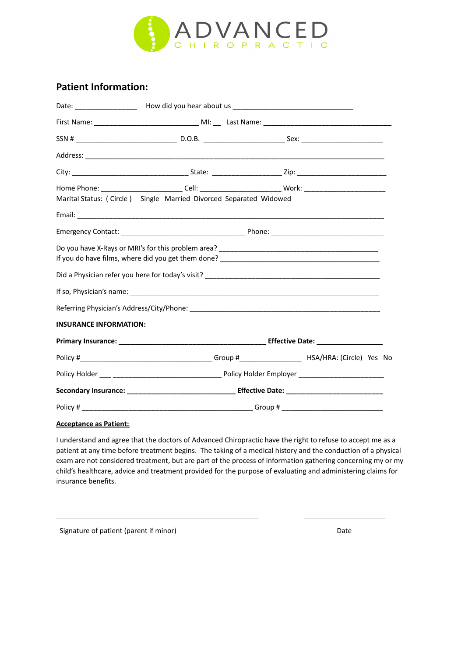

#### **Patient Information:**

|                               | Home Phone: ___________________________Cell: ___________________________Work: ___________________________ |  |  |  |  |  |
|-------------------------------|-----------------------------------------------------------------------------------------------------------|--|--|--|--|--|
|                               | Marital Status: (Circle) Single Married Divorced Separated Widowed                                        |  |  |  |  |  |
|                               |                                                                                                           |  |  |  |  |  |
|                               |                                                                                                           |  |  |  |  |  |
|                               |                                                                                                           |  |  |  |  |  |
|                               |                                                                                                           |  |  |  |  |  |
|                               |                                                                                                           |  |  |  |  |  |
|                               |                                                                                                           |  |  |  |  |  |
| <b>INSURANCE INFORMATION:</b> |                                                                                                           |  |  |  |  |  |
|                               |                                                                                                           |  |  |  |  |  |
|                               |                                                                                                           |  |  |  |  |  |
|                               |                                                                                                           |  |  |  |  |  |
|                               |                                                                                                           |  |  |  |  |  |
|                               |                                                                                                           |  |  |  |  |  |

#### **Acceptance as Patient:**

I understand and agree that the doctors of Advanced Chiropractic have the right to refuse to accept me as a patient at any time before treatment begins. The taking of a medical history and the conduction of a physical exam are not considered treatment, but are part of the process of information gathering concerning my or my child's healthcare, advice and treatment provided for the purpose of evaluating and administering claims for insurance benefits.

\_\_\_\_\_\_\_\_\_\_\_\_\_\_\_\_\_\_\_\_\_\_\_\_\_\_\_\_\_\_\_\_\_\_\_\_\_\_\_\_\_\_\_\_\_\_\_\_\_\_\_\_ \_\_\_\_\_\_\_\_\_\_\_\_\_\_\_\_\_\_\_\_\_

Signature of patient (parent if minor) Date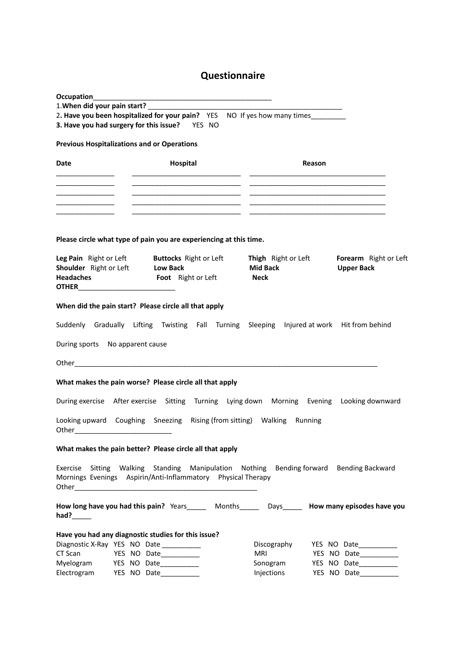### **Questionnaire**

| 1. When did your pain start? __                                                        |                                                                                                       |                                                       |                                            |
|----------------------------------------------------------------------------------------|-------------------------------------------------------------------------------------------------------|-------------------------------------------------------|--------------------------------------------|
|                                                                                        | 2. Have you been hospitalized for your pain? YES NO If yes how many times                             |                                                       |                                            |
| 3. Have you had surgery for this issue? YES NO                                         |                                                                                                       |                                                       |                                            |
| <b>Previous Hospitalizations and or Operations</b>                                     |                                                                                                       |                                                       |                                            |
| Date                                                                                   | Hospital                                                                                              | Reason                                                |                                            |
|                                                                                        |                                                                                                       |                                                       |                                            |
|                                                                                        |                                                                                                       |                                                       |                                            |
|                                                                                        |                                                                                                       |                                                       |                                            |
|                                                                                        |                                                                                                       |                                                       |                                            |
|                                                                                        | Please circle what type of pain you are experiencing at this time.                                    |                                                       |                                            |
| Shoulder Right or Left<br><b>Headaches</b><br><b>OTHER____________________________</b> | Leg Pain Right or Left Buttocks Right or Left<br><b>Low Back</b><br><b>Foot</b> Right or Left         | Thigh Right or Left<br><b>Mid Back</b><br><b>Neck</b> | Forearm Right or Left<br><b>Upper Back</b> |
| When did the pain start? Please circle all that apply                                  | Suddenly Gradually Lifting Twisting Fall Turning Sleeping Injured at work Hit from behind             |                                                       |                                            |
| During sports No apparent cause                                                        |                                                                                                       |                                                       |                                            |
|                                                                                        |                                                                                                       |                                                       |                                            |
|                                                                                        |                                                                                                       |                                                       |                                            |
|                                                                                        | What makes the pain worse? Please circle all that apply                                               |                                                       |                                            |
|                                                                                        | During exercise After exercise Sitting Turning Lying down Morning Evening Looking downward            |                                                       |                                            |
|                                                                                        | Looking upward Coughing Sneezing Rising (from sitting) Walking Running                                |                                                       |                                            |
|                                                                                        | What makes the pain better? Please circle all that apply                                              |                                                       |                                            |
| Exercise<br>Sitting                                                                    | Walking Standing Manipulation Nothing<br>Mornings Evenings Aspirin/Anti-Inflammatory Physical Therapy | Bending forward                                       | <b>Bending Backward</b>                    |
| had? $\_\_\_\_\_\_\_\$                                                                 | How long have you had this pain? Years________ Months________ Days_______ How many episodes have you  |                                                       |                                            |
| Have you had any diagnostic studies for this issue?                                    |                                                                                                       |                                                       |                                            |
| Diagnostic X-Ray YES NO Date _________                                                 |                                                                                                       | Discography                                           | YES NO Date                                |
| CT Scan                                                                                | YES NO Date                                                                                           | MRI                                                   | YES NO Date                                |
| Myelogram                                                                              | YES NO Date                                                                                           | Sonogram                                              | YES NO Date__________                      |
| Electrogram                                                                            | YES NO Date___________                                                                                | Injections                                            | YES NO Date                                |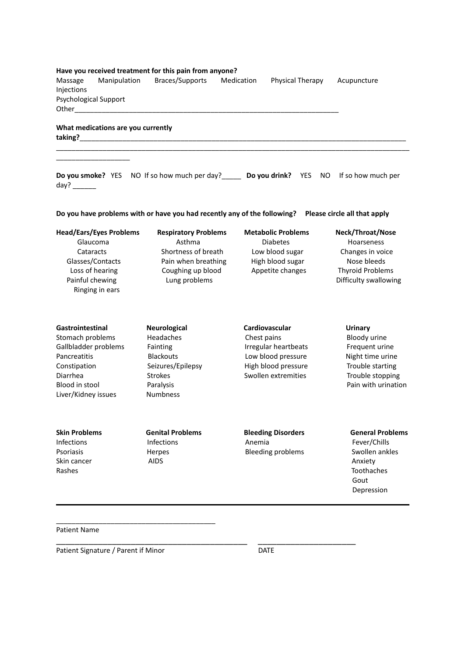|                       |                                    | Have you received treatment for this pain from anyone? |            |                  |             |
|-----------------------|------------------------------------|--------------------------------------------------------|------------|------------------|-------------|
| Massage<br>Injections | Manipulation                       | Braces/Supports                                        | Medication | Physical Therapy | Acupuncture |
|                       | Psychological Support              |                                                        |            |                  |             |
| Other                 |                                    |                                                        |            |                  |             |
| taking?               | What medications are you currently |                                                        |            |                  |             |

**Do you smoke?** YES NO If so how much per day?\_\_\_\_\_ **Do you drink?** YES NO If so how much per day? \_\_\_\_\_\_

\_\_\_\_\_\_\_\_\_\_\_\_\_\_\_\_\_\_\_\_\_\_\_\_\_\_\_\_\_\_\_\_\_\_\_\_\_\_\_\_\_\_\_\_\_\_\_\_\_\_\_\_\_\_\_\_\_\_\_\_\_\_\_\_\_\_\_\_\_\_\_\_\_\_\_\_\_\_\_\_\_\_\_\_\_\_\_\_\_\_\_

| Do you have problems with or have you had recently any of the following?  Please circle all that apply |  |
|--------------------------------------------------------------------------------------------------------|--|
|--------------------------------------------------------------------------------------------------------|--|

| <b>Head/Ears/Eyes Problems</b>                                                         | <b>Respiratory Problems</b>                                                      | <b>Metabolic Problems</b>                               | Neck/Throat/Nose                                                                    |
|----------------------------------------------------------------------------------------|----------------------------------------------------------------------------------|---------------------------------------------------------|-------------------------------------------------------------------------------------|
| Glaucoma                                                                               | Asthma                                                                           | <b>Diabetes</b>                                         | <b>Hoarseness</b>                                                                   |
| Cataracts<br>Glasses/Contacts<br>Loss of hearing<br>Painful chewing<br>Ringing in ears | Shortness of breath<br>Pain when breathing<br>Coughing up blood<br>Lung problems | Low blood sugar<br>High blood sugar<br>Appetite changes | Changes in voice<br>Nose bleeds<br><b>Thyroid Problems</b><br>Difficulty swallowing |
| Gastrointestinal                                                                       | <b>Neurological</b>                                                              | <b>Cardiovascular</b>                                   | Urinary                                                                             |

Gallbladder problems Fainting The Tennis Regular heartbeats Frequent urine Pancreatitis **Blackouts** Blackouts **Low blood pressure** Night time urine Constipation Seizures/Epilepsy High blood pressure Trouble starting Diarrhea Strokes Swollen extremities Trouble stopping Blood in stool **Paralysis** Paralysis **Paralysis** Pain with urination Liver/Kidney issues Numbness

\_\_\_\_\_\_\_\_\_\_\_\_\_\_\_\_\_\_\_

Stomach problems Headaches Chest pains Bloody urine<br>
Gallbladder problems Fainting Chest paint in the problem Frequent urine

Skin cancer **AIDS** Anxiety **AIDS** Anxiety **AIDS** Anxiety **AIDS** Rashes Toothaches

\_\_\_\_\_\_\_\_\_\_\_\_\_\_\_\_\_\_\_\_\_\_\_\_\_\_\_\_\_\_\_\_\_\_\_\_\_\_\_\_\_ \_\_\_\_\_\_\_\_\_\_\_\_\_\_\_\_\_\_\_\_\_

**Skin Problems Genital Problems Bleeding Disorders General Problems** Infections 1nfections **Infections Anemia** Pever/Chills Psoriasis **Herpes** Herpes Bleeding problems Swollen ankles

Gout Depression

Patient Name

Patient Signature / Parent if Minor DATE

\_\_\_\_\_\_\_\_\_\_\_\_\_\_\_\_\_\_\_\_\_\_\_\_\_\_\_\_\_\_\_\_\_\_\_\_\_\_\_\_\_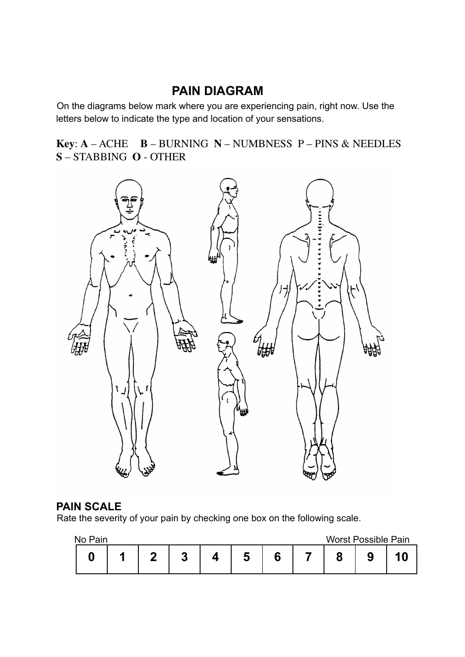## **PAIN DIAGRAM**

On the diagrams below mark where you are experiencing pain, right now. Use the letters below to indicate the type and location of your sensations.

**Key**: **A** – ACHE **B** – BURNING **N** – NUMBNESS P – PINS & NEEDLES **S** – STABBING **O** - OTHER



#### **PAIN SCALE**

Rate the severity of your pain by checking one box on the following scale.

| No Pain |  |  |  | <b>Worst Possible Pain</b> |  |
|---------|--|--|--|----------------------------|--|
|         |  |  |  |                            |  |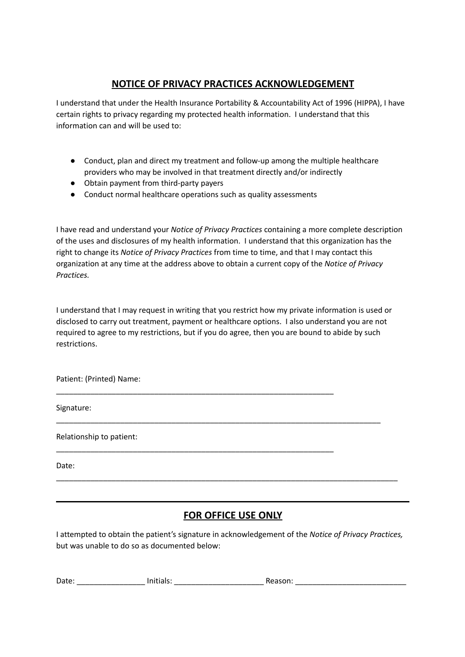#### **NOTICE OF PRIVACY PRACTICES ACKNOWLEDGEMENT**

I understand that under the Health Insurance Portability & Accountability Act of 1996 (HIPPA), I have certain rights to privacy regarding my protected health information. I understand that this information can and will be used to:

- Conduct, plan and direct my treatment and follow-up among the multiple healthcare providers who may be involved in that treatment directly and/or indirectly
- Obtain payment from third-party payers
- Conduct normal healthcare operations such as quality assessments

\_\_\_\_\_\_\_\_\_\_\_\_\_\_\_\_\_\_\_\_\_\_\_\_\_\_\_\_\_\_\_\_\_\_\_\_\_\_\_\_\_\_\_\_\_\_\_\_\_\_\_\_\_\_\_\_\_\_\_\_\_\_\_\_\_

\_\_\_\_\_\_\_\_\_\_\_\_\_\_\_\_\_\_\_\_\_\_\_\_\_\_\_\_\_\_\_\_\_\_\_\_\_\_\_\_\_\_\_\_\_\_\_\_\_\_\_\_\_\_\_\_\_\_\_\_\_\_\_\_\_

I have read and understand your *Notice of Privacy Practices* containing a more complete description of the uses and disclosures of my health information. I understand that this organization has the right to change its *Notice of Privacy Practices* from time to time, and that I may contact this organization at any time at the address above to obtain a current copy of the *Notice of Privacy Practices.*

I understand that I may request in writing that you restrict how my private information is used or disclosed to carry out treatment, payment or healthcare options. I also understand you are not required to agree to my restrictions, but if you do agree, then you are bound to abide by such restrictions.

\_\_\_\_\_\_\_\_\_\_\_\_\_\_\_\_\_\_\_\_\_\_\_\_\_\_\_\_\_\_\_\_\_\_\_\_\_\_\_\_\_\_\_\_\_\_\_\_\_\_\_\_\_\_\_\_\_\_\_\_\_\_\_\_\_\_\_\_\_\_\_\_\_\_\_\_

Patient: (Printed) Name:

Signature:

Relationship to patient:

Date:

### **FOR OFFICE USE ONLY**

\_\_\_\_\_\_\_\_\_\_\_\_\_\_\_\_\_\_\_\_\_\_\_\_\_\_\_\_\_\_\_\_\_\_\_\_\_\_\_\_\_\_\_\_\_\_\_\_\_\_\_\_\_\_\_\_\_\_\_\_\_\_\_\_\_\_\_\_\_\_\_\_\_\_\_\_\_\_\_\_

I attempted to obtain the patient's signature in acknowledgement of the *Notice of Privacy Practices,* but was unable to do so as documented below:

| Date. | - -<br>$   -$ |  |
|-------|---------------|--|
|       |               |  |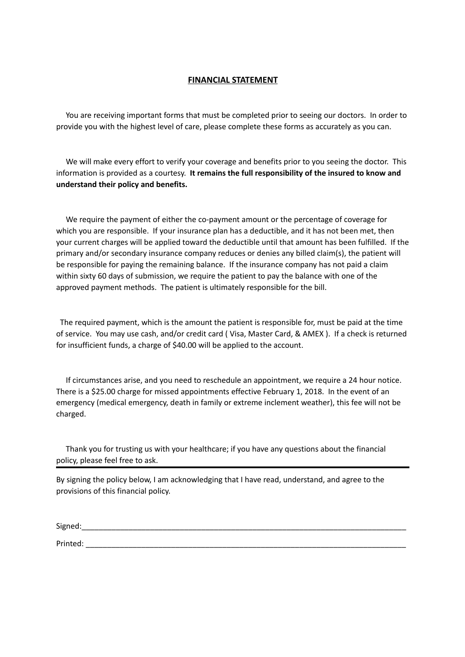#### **FINANCIAL STATEMENT**

You are receiving important forms that must be completed prior to seeing our doctors. In order to provide you with the highest level of care, please complete these forms as accurately as you can.

We will make every effort to verify your coverage and benefits prior to you seeing the doctor. This information is provided as a courtesy. **It remains the full responsibility of the insured to know and understand their policy and benefits.**

We require the payment of either the co-payment amount or the percentage of coverage for which you are responsible. If your insurance plan has a deductible, and it has not been met, then your current charges will be applied toward the deductible until that amount has been fulfilled. If the primary and/or secondary insurance company reduces or denies any billed claim(s), the patient will be responsible for paying the remaining balance. If the insurance company has not paid a claim within sixty 60 days of submission, we require the patient to pay the balance with one of the approved payment methods. The patient is ultimately responsible for the bill.

The required payment, which is the amount the patient is responsible for, must be paid at the time of service. You may use cash, and/or credit card ( Visa, Master Card, & AMEX ). If a check is returned for insufficient funds, a charge of \$40.00 will be applied to the account.

If circumstances arise, and you need to reschedule an appointment, we require a 24 hour notice. There is a \$25.00 charge for missed appointments effective February 1, 2018. In the event of an emergency (medical emergency, death in family or extreme inclement weather), this fee will not be charged.

Thank you for trusting us with your healthcare; if you have any questions about the financial policy, please feel free to ask.

By signing the policy below, I am acknowledging that I have read, understand, and agree to the provisions of this financial policy.

| Signed:  |  |
|----------|--|
| Printed: |  |